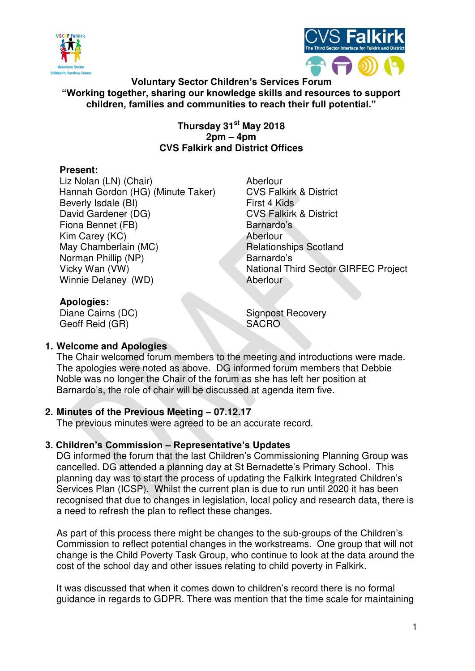



**Voluntary Sector Children's Services Forum "Working together, sharing our knowledge skills and resources to support children, families and communities to reach their full potential."**

> **Thursday 31st May 2018 2pm – 4pm CVS Falkirk and District Offices**

# **Present:**

Liz Nolan (LN) (Chair) Aberlour Hannah Gordon (HG) (Minute Taker) CVS Falkirk & District Beverly Isdale (BI) First 4 Kids<br>David Gardener (DG) Falkirk Fiona Bennet (FB) Barnardo's Kim Carey (KC) Aberlour May Chamberlain (MC) Relationships Scotland Norman Phillip (NP) Barnardo's Winnie Delaney (WD) Aberlour

**CVS Falkirk & District** Vicky Wan (VW) National Third Sector GIRFEC Project

**Apologies:**  Geoff Reid (GR) SACRO

**Signpost Recovery** 

# **1. Welcome and Apologies**

The Chair welcomed forum members to the meeting and introductions were made. The apologies were noted as above. DG informed forum members that Debbie Noble was no longer the Chair of the forum as she has left her position at Barnardo's, the role of chair will be discussed at agenda item five.

# **2. Minutes of the Previous Meeting – 07.12.17**

The previous minutes were agreed to be an accurate record.

#### **3. Children's Commission – Representative's Updates**

DG informed the forum that the last Children's Commissioning Planning Group was cancelled. DG attended a planning day at St Bernadette's Primary School. This planning day was to start the process of updating the Falkirk Integrated Children's Services Plan (ICSP). Whilst the current plan is due to run until 2020 it has been recognised that due to changes in legislation, local policy and research data, there is a need to refresh the plan to reflect these changes.

As part of this process there might be changes to the sub-groups of the Children's Commission to reflect potential changes in the workstreams. One group that will not change is the Child Poverty Task Group, who continue to look at the data around the cost of the school day and other issues relating to child poverty in Falkirk.

It was discussed that when it comes down to children's record there is no formal guidance in regards to GDPR. There was mention that the time scale for maintaining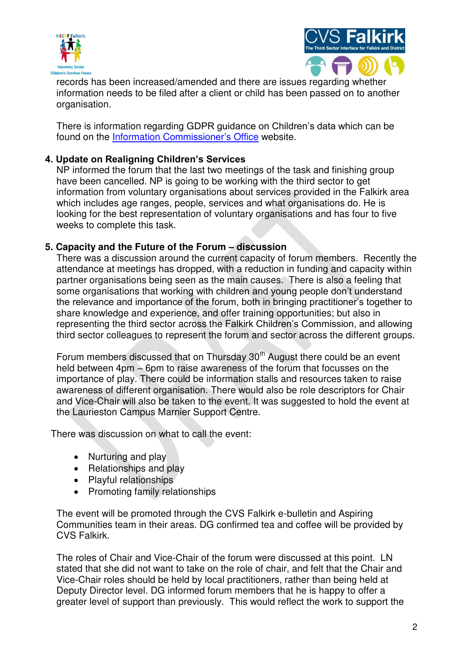



records has been increased/amended and there are issues regarding whether information needs to be filed after a client or child has been passed on to another organisation.

There is information regarding GDPR guidance on Children's data which can be found on the Information C[ommissioner's](https://ico.org.uk/media/for-organisations/guide-to-the-general-data-protection-regulation-gdpr/children-and-the-gdpr-1-0.pdf) Office website.

#### **4. Update on Realigning Children's Services**

NP informed the forum that the last two meetings of the task and finishing group have been cancelled. NP is going to be working with the third sector to get information from voluntary organisations about services provided in the Falkirk area which includes age ranges, people, services and what organisations do. He is looking for the best representation of voluntary organisations and has four to five weeks to complete this task.

#### **5. Capacity and the Future of the Forum – discussion**

There was a discussion around the current capacity of forum members. Recently the attendance at meetings has dropped, with a reduction in funding and capacity within partner organisations being seen as the main causes. There is also a feeling that some organisations that working with children and young people don't understand the relevance and importance of the forum, both in bringing practitioner's together to share knowledge and experience, and offer training opportunities; but also in representing the third sector across the Falkirk Children's Commission, and allowing third sector colleagues to represent the forum and sector across the different groups.

Forum members discussed that on Thursday 30<sup>th</sup> August there could be an event held between 4pm – 6pm to raise awareness of the forum that focusses on the importance of play. There could be information stalls and resources taken to raise awareness of different organisation. There would also be role descriptors for Chair and Vice-Chair will also be taken to the event. It was suggested to hold the event at the Laurieston Campus Marnier Support Centre.

There was discussion on what to call the event:

- Nurturing and play
- Relationships and play
- Playful relationships
- Promoting family relationships

The event will be promoted through the CVS Falkirk e-bulletin and Aspiring Communities team in their areas. DG confirmed tea and coffee will be provided by CVS Falkirk.

The roles of Chair and Vice-Chair of the forum were discussed at this point. LN stated that she did not want to take on the role of chair, and felt that the Chair and Vice-Chair roles should be held by local practitioners, rather than being held at Deputy Director level. DG informed forum members that he is happy to offer a greater level of support than previously. This would reflect the work to support the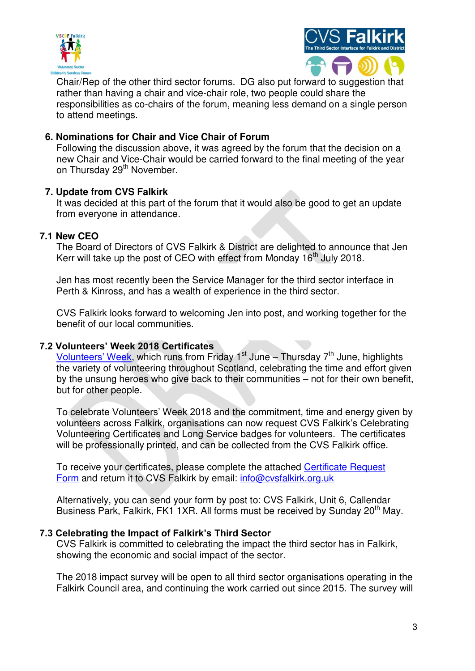



Chair/Rep of the other third sector forums. DG also put forward to suggestion that rather than having a chair and vice-chair role, two people could share the responsibilities as co-chairs of the forum, meaning less demand on a single person to attend meetings.

#### **6. Nominations for Chair and Vice Chair of Forum**

Following the discussion above, it was agreed by the forum that the decision on a new Chair and Vice-Chair would be carried forward to the final meeting of the year on Thursday 29<sup>th</sup> November.

#### **7. Update from CVS Falkirk**

It was decided at this part of the forum that it would also be good to get an update from everyone in attendance.

#### **7.1 New CEO**

The Board of Directors of CVS Falkirk & District are delighted to announce that Jen Kerr will take up the post of CEO with effect from Monday  $16<sup>th</sup>$  July 2018.

Jen has most recently been the Service Manager for the third sector interface in Perth & Kinross, and has a wealth of experience in the third sector.

CVS Falkirk looks forward to welcoming Jen into post, and working together for the benefit of our local communities.

#### **7.2 Volunteers' Week 2018 Certificates**

[Volunteers' Week](http://volunteersweek.org/), which runs from Friday 1<sup>st</sup> June – Thursday 7<sup>th</sup> June, highlights the variety of volunteering throughout Scotland, celebrating the time and effort given by the unsung heroes who give back to their communities – not for their own benefit, but for other people.

To celebrate Volunteers' Week 2018 and the commitment, time and energy given by volunteers across Falkirk, organisations can now request CVS Falkirk's Celebrating Volunteering Certificates and Long Service badges for volunteers. The certificates will be professionally printed, and can be collected from the CVS Falkirk office.

To receive your certificates, please complete the attached [Certificate Request](https://www.cvsfalkirk.org.uk/wp-content/uploads/2014/06/Celebrating-Volunteering-Organisation-Certificate-Request.docx)  [Form](https://www.cvsfalkirk.org.uk/wp-content/uploads/2014/06/Celebrating-Volunteering-Organisation-Certificate-Request.docx) and return it to CVS Falkirk by email: [info@cvsfalkirk.org.uk](mailto:info@cvsfalkirk.org.uk)

Alternatively, you can send your form by post to: CVS Falkirk, Unit 6, Callendar Business Park, Falkirk, FK1 1XR. All forms must be received by Sunday 20<sup>th</sup> May.

#### **7.3 Celebrating the Impact of Falkirk's Third Sector**

CVS Falkirk is committed to celebrating the impact the third sector has in Falkirk, showing the economic and social impact of the sector.

The 2018 impact survey will be open to all third sector organisations operating in the Falkirk Council area, and continuing the work carried out since 2015. The survey will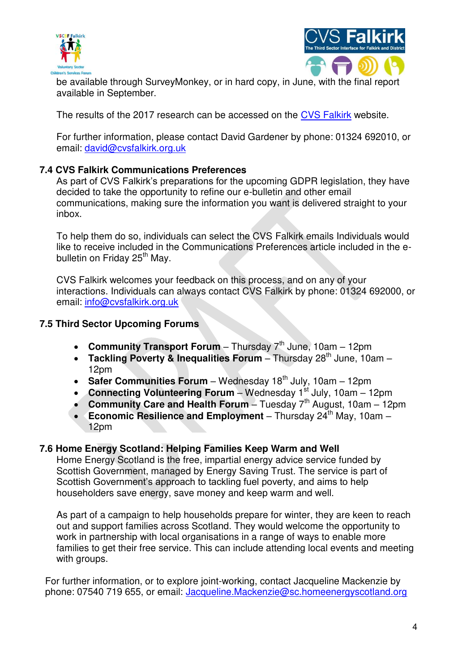



be available through SurveyMonkey, or in hard copy, in June, with the final report available in September.

The results of the 2017 research can be accessed on the [CVS Falkirk](http://www.cvsfalkirk.org.uk/wp-content/uploads/2015/08/Third-Sector-Impact-Report-2017.pdf) website.

For further information, please contact David Gardener by phone: 01324 692010, or email: [david@cvsfalkirk.org.uk](mailto:david@cvsfalkirk.org.uk) 

# **7.4 CVS Falkirk Communications Preferences**

As part of CVS Falkirk's preparations for the upcoming GDPR legislation, they have decided to take the opportunity to refine our e-bulletin and other email communications, making sure the information you want is delivered straight to your inbox.

To help them do so, individuals can select the CVS Falkirk emails Individuals would like to receive included in the Communications Preferences article included in the ebulletin on Friday 25<sup>th</sup> May.

CVS Falkirk welcomes your feedback on this process, and on any of your interactions. Individuals can always contact CVS Falkirk by phone: 01324 692000, or email: [info@cvsfalkirk.org.uk](mailto:info@cvsfalkirk.org.uk) 

# **7.5 Third Sector Upcoming Forums**

- **Community Transport Forum** Thursday  $7<sup>th</sup>$  June, 10am 12pm
- **Tackling Poverty & Inequalities Forum** Thursday 28<sup>th</sup> June, 10am 12pm
- **Safer Communities Forum** Wednesday 18<sup>th</sup> July, 10am 12pm
- **Connecting Volunteering Forum** Wednesday 1<sup>st</sup> July, 10am 12pm
- **Community Care and Health Forum** Tuesday  $7<sup>th</sup>$  August, 10am 12pm
- **Economic Resilience and Employment** Thursday 24<sup>th</sup> May, 10am 12pm

# **7.6 Home Energy Scotland: Helping Families Keep Warm and Well**

Home Energy Scotland is the free, impartial energy advice service funded by Scottish Government, managed by Energy Saving Trust. The service is part of Scottish Government's approach to tackling fuel poverty, and aims to help householders save energy, save money and keep warm and well.

As part of a campaign to help households prepare for winter, they are keen to reach out and support families across Scotland. They would welcome the opportunity to work in partnership with local organisations in a range of ways to enable more families to get their free service. This can include attending local events and meeting with groups.

For further information, or to explore joint-working, contact Jacqueline Mackenzie by phone: 07540 719 655, or email: [Jacqueline.Mackenzie@sc.homeenergyscotland.org](mailto:Jacqueline.Mackenzie@sc.homeenergyscotland.org)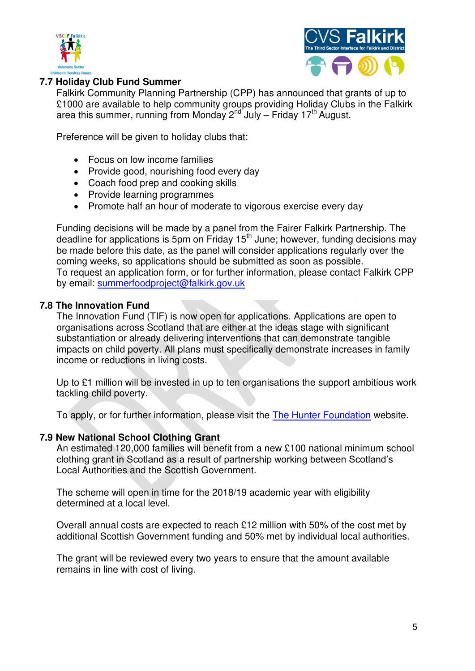



#### **7.7 Holiday Club Fund Summer**

Falkirk Community Planning Partnership (CPP) has announced that grants of up to £1000 are available to help community groups providing Holiday Clubs in the Falkirk area this summer, running from Monday  $2<sup>nd</sup>$  July – Friday 17<sup>th</sup> August.

Preference will be given to holiday clubs that:

- Focus on low income families
- Provide good, nourishing food every day
- Coach food prep and cooking skills
- Provide learning programmes
- Promote half an hour of moderate to vigorous exercise every day

Funding decisions will be made by a panel from the Fairer Falkirk Partnership. The deadline for applications is 5pm on Friday 15<sup>th</sup> June; however, funding decisions may be made before this date, as the panel will consider applications regularly over the coming weeks, so applications should be submitted as soon as possible. To request an application form, or for further information, please contact Falkirk CPP by email: [summerfoodproject@falkirk.gov.uk](mailto:summerfoodproject@falkirk.gov.uk)

#### **7.8 The Innovation Fund**

The Innovation Fund (TIF) is now open for applications. Applications are open to organisations across Scotland that are either at the ideas stage with significant substantiation or already delivering interventions that can demonstrate tangible impacts on child poverty. All plans must specifically demonstrate increases in family income or reductions in living costs.

Up to £1 million will be invested in up to ten organisations the support ambitious work tackling child poverty.

To apply, or for further information, please visit the [The Hunter Foundation](http://www.thehunterfoundation.co.uk/#form) website.

#### **7.9 New National School Clothing Grant**

An estimated 120,000 families will benefit from a new £100 national minimum school clothing grant in Scotland as a result of partnership working between Scotland's Local Authorities and the Scottish Government.

The scheme will open in time for the 2018/19 academic year with eligibility determined at a local level.

Overall annual costs are expected to reach £12 million with 50% of the cost met by additional Scottish Government funding and 50% met by individual local authorities.

The grant will be reviewed every two years to ensure that the amount available remains in line with cost of living.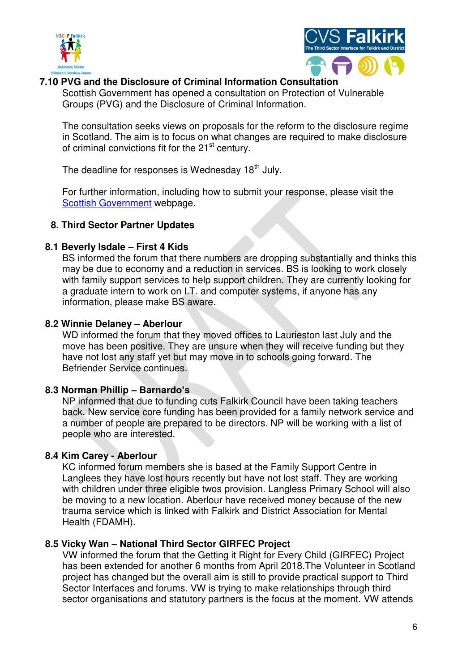



#### **7.10 PVG and the Disclosure of Criminal Information Consultation**

Scottish Government has opened a consultation on Protection of Vulnerable Groups (PVG) and the Disclosure of Criminal Information.

The consultation seeks views on proposals for the reform to the disclosure regime in Scotland. The aim is to focus on what changes are required to make disclosure of criminal convictions fit for the 21<sup>st</sup> century.

The deadline for responses is Wednesday 18<sup>th</sup> July.

For further information, including how to submit your response, please visit the [Scottish Government](https://urldefense.proofpoint.com/v2/url?u=https-3A__cvsfalkirk.us3.list-2Dmanage.com_track_click-3Fu-3D3e84ad020ba95c3b6ea2becc1-26id-3D179e717846-26e-3D6bf1774962&d=DwMFaQ&c=euGZstcaTDllvimEN8b7jXrwqOf-v5A_CdpgnVfiiMM&r=TgFyRo-1DWhyKNl-xGJH5hBR_p2xIQumvEM0osJ45TI&m=mdiJjw-ZH2OIEUAkZ_HfeHzbdy_rz1bXj47VHt6r1-4&s=_ntamJrxWEVBRNM5UzmTmpPFOei5CogbBT_FGreGcas&e=) webpage.

# **8. Third Sector Partner Updates**

# **8.1 Beverly Isdale – First 4 Kids**

BS informed the forum that there numbers are dropping substantially and thinks this may be due to economy and a reduction in services. BS is looking to work closely with family support services to help support children. They are currently looking for a graduate intern to work on I.T. and computer systems, if anyone has any information, please make BS aware.

# **8.2 Winnie Delaney – Aberlour**

WD informed the forum that they moved offices to Laurieston last July and the move has been positive. They are unsure when they will receive funding but they have not lost any staff yet but may move in to schools going forward. The Befriender Service continues.

# **8.3 Norman Phillip – Barnardo's**

NP informed that due to funding cuts Falkirk Council have been taking teachers back. New service core funding has been provided for a family network service and a number of people are prepared to be directors. NP will be working with a list of people who are interested.

# **8.4 Kim Carey - Aberlour**

KC informed forum members she is based at the Family Support Centre in Langlees they have lost hours recently but have not lost staff. They are working with children under three eligible twos provision. Langless Primary School will also be moving to a new location. Aberlour have received money because of the new trauma service which is linked with Falkirk and District Association for Mental Health (FDAMH).

# **8.5 Vicky Wan – National Third Sector GIRFEC Project**

VW informed the forum that the Getting it Right for Every Child (GIRFEC) Project has been extended for another 6 months from April 2018.The Volunteer in Scotland project has changed but the overall aim is still to provide practical support to Third Sector Interfaces and forums. VW is trying to make relationships through third sector organisations and statutory partners is the focus at the moment. VW attends